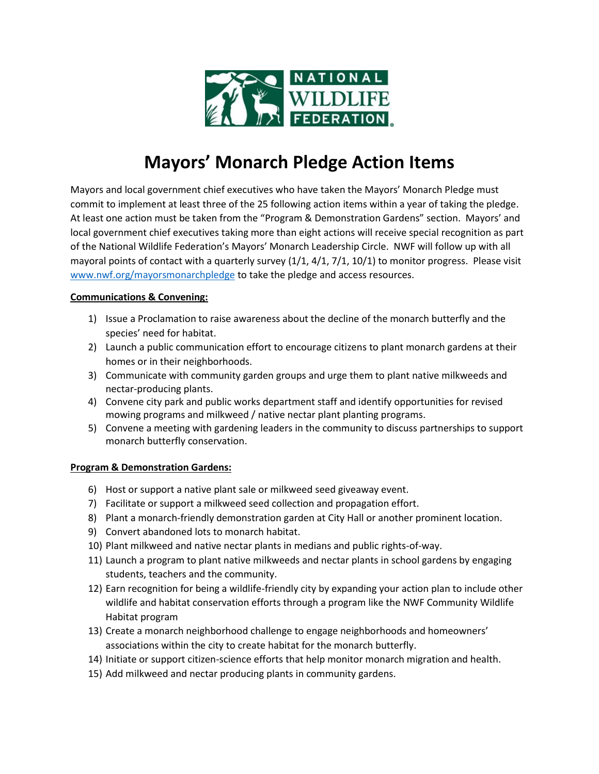

## **Mayors' Monarch Pledge Action Items**

Mayors and local government chief executives who have taken the Mayors' Monarch Pledge must commit to implement at least three of the 25 following action items within a year of taking the pledge. At least one action must be taken from the "Program & Demonstration Gardens" section. Mayors' and local government chief executives taking more than eight actions will receive special recognition as part of the National Wildlife Federation's Mayors' Monarch Leadership Circle. NWF will follow up with all mayoral points of contact with a quarterly survey (1/1, 4/1, 7/1, 10/1) to monitor progress. Please visit [www.nwf.org/mayorsmonarchpledge](http://www.nwf.org/mayorsmonarchpledge) to take the pledge and access resources.

## **Communications & Convening:**

- 1) Issue a Proclamation to raise awareness about the decline of the monarch butterfly and the species' need for habitat.
- 2) Launch a public communication effort to encourage citizens to plant monarch gardens at their homes or in their neighborhoods.
- 3) Communicate with community garden groups and urge them to plant native milkweeds and nectar-producing plants.
- 4) Convene city park and public works department staff and identify opportunities for revised mowing programs and milkweed / native nectar plant planting programs.
- 5) Convene a meeting with gardening leaders in the community to discuss partnerships to support monarch butterfly conservation.

## **Program & Demonstration Gardens:**

- 6) Host or support a native plant sale or milkweed seed giveaway event.
- 7) Facilitate or support a milkweed seed collection and propagation effort.
- 8) Plant a monarch-friendly demonstration garden at City Hall or another prominent location.
- 9) Convert abandoned lots to monarch habitat.
- 10) Plant milkweed and native nectar plants in medians and public rights-of-way.
- 11) Launch a program to plant native milkweeds and nectar plants in school gardens by engaging students, teachers and the community.
- 12) Earn recognition for being a wildlife-friendly city by expanding your action plan to include other wildlife and habitat conservation efforts through a program like the NWF Community Wildlife Habitat program
- 13) Create a monarch neighborhood challenge to engage neighborhoods and homeowners' associations within the city to create habitat for the monarch butterfly.
- 14) Initiate or support citizen-science efforts that help monitor monarch migration and health.
- 15) Add milkweed and nectar producing plants in community gardens.